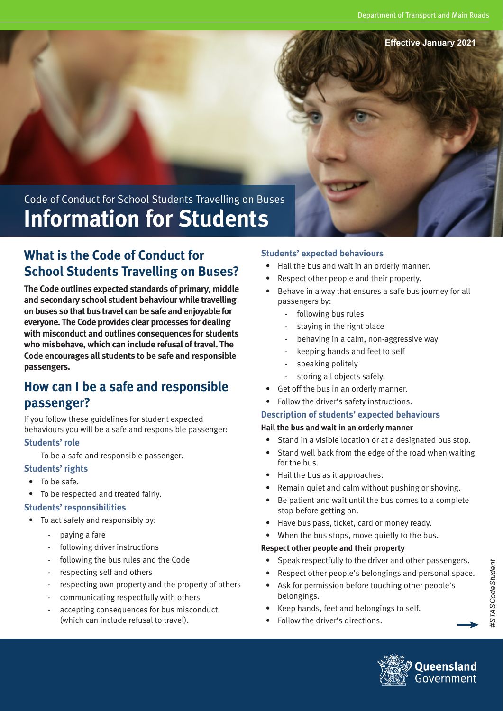**Effective January 2021**

# Code of Conduct for School Students Travelling on Buses **Information for Students**

# **What is the Code of Conduct for School Students Travelling on Buses?**

**The Code outlines expected standards of primary, middle and secondary school student behaviour while travelling on buses so that bus travel can be safe and enjoyable for everyone. The Code provides clear processes for dealing with misconduct and outlines consequences for students who misbehave, which can include refusal of travel. The Code encourages all students to be safe and responsible passengers.**

## **How can I be a safe and responsible passenger?**

If you follow these guidelines for student expected behaviours you will be a safe and responsible passenger:

#### **Students' role**

To be a safe and responsible passenger.

#### **Students' rights**

- To be safe.
- To be respected and treated fairly.

#### **Students' responsibilities**

- To act safely and responsibly by:
	- paying a fare
	- following driver instructions
	- following the bus rules and the Code
	- respecting self and others
	- respecting own property and the property of others
	- communicating respectfully with others
	- accepting consequences for bus misconduct (which can include refusal to travel).

#### **Students' expected behaviours**

- Hail the bus and wait in an orderly manner.
- Respect other people and their property.
- Behave in a way that ensures a safe bus journey for all passengers by:
	- following bus rules
	- staying in the right place
	- behaving in a calm, non-aggressive way
	- keeping hands and feet to self
	- speaking politely
	- storing all objects safely.
- Get off the bus in an orderly manner.
- Follow the driver's safety instructions.

#### **Description of students' expected behaviours**

#### **Hail the bus and wait in an orderly manner**

- Stand in a visible location or at a designated bus stop.
- Stand well back from the edge of the road when waiting for the bus.
- Hail the bus as it approaches.
- Remain quiet and calm without pushing or shoving.
- Be patient and wait until the bus comes to a complete stop before getting on.
- Have bus pass, ticket, card or money ready.
- When the bus stops, move quietly to the bus.

#### **Respect other people and their property**

- Speak respectfully to the driver and other passengers.
- Respect other people's belongings and personal space.
- Ask for permission before touching other people's belongings.
- Keep hands, feet and belongings to self.
- Follow the driver's directions.